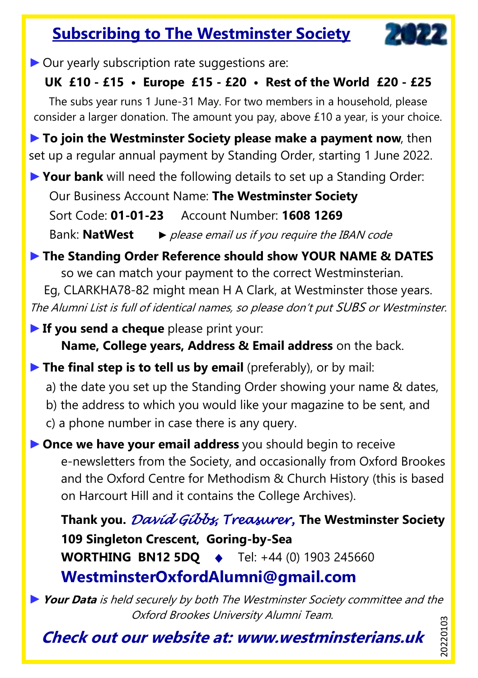## **Subscribing to The Westminster Society**



▶ Our yearly subscription rate suggestions are:

### **UK £10 - £15 • Europe £15 - £20 • Rest of the World £20 - £25**

The subs year runs 1 June-31 May. For two members in a household, please consider a larger donation. The amount you pay, above £10 a year, is your choice.

►**To join the Westminster Society please make a payment now**, then set up a regular annual payment by Standing Order, starting 1 June 2022.

►**Your bank** will need the following details to set up a Standing Order:

Our Business Account Name: **The Westminster Society**

Sort Code: **01-01-23** Account Number: **1608 1269**

Bank: **NatWest** *►* please email us if you require the IBAN code

#### ►**The Standing Order Reference should show YOUR NAME & DATES**

so we can match your payment to the correct Westminsterian.

Eg, CLARKHA78-82 might mean H A Clark, at Westminster those years. The Alumni List is full of identical names, so please don't put SUBS or Westminster.

►**If you send a cheque** please print your: **Name, College years, Address & Email address** on the back.

►**The final step is to tell us by email** (preferably), or by mail:

- a) the date you set up the Standing Order showing your name & dates,
- b) the address to which you would like your magazine to be sent, and
- c) a phone number in case there is any query.

►**Once we have your email address** you should begin to receive e-newsletters from the Society, and occasionally from Oxford Brookes and the Oxford Centre for Methodism & Church History (this is based on Harcourt Hill and it contains the College Archives).

**Thank you.** *David Gibbs, Treasurer,* **The Westminster Society 109 Singleton Crescent, Goring-by-Sea WORTHING BN12 5DQ** ♦Tel: +44 (0) 1903 245660 **WestminsterOxfordAlumni@gmail.com**

►**Your Data** is held securely by both The Westminster Society committee and the Oxford Brookes University Alumni Team. 20220103 20220103

**Check out our website at: www.westminsterians.uk**